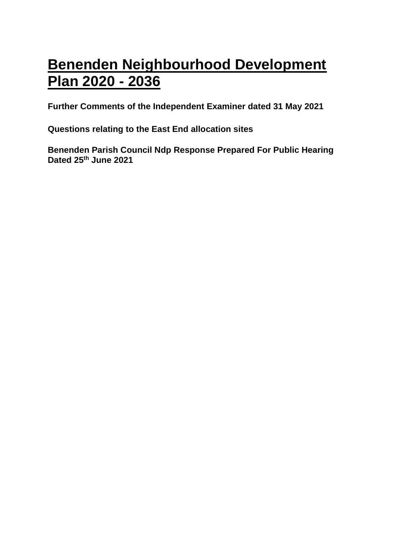# **Benenden Neighbourhood Development Plan 2020 - 2036**

**Further Comments of the Independent Examiner dated 31 May 2021**

**Questions relating to the East End allocation sites**

**Benenden Parish Council Ndp Response Prepared For Public Hearing Dated 25th June 2021**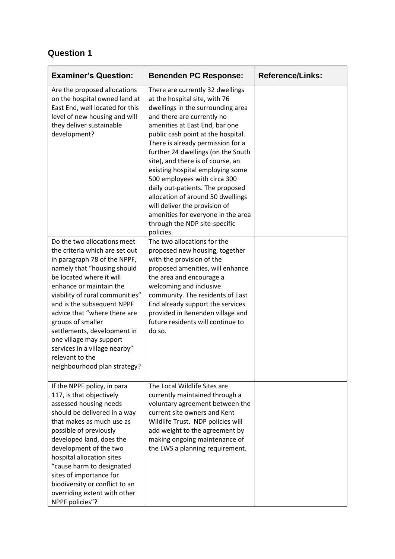| <b>Examiner's Question:</b>                                                                                                                                                                                                                                                                                                                                                                                                                             | <b>Benenden PC Response:</b>                                                                                                                                                                                                                                                                                                                                                                                                                                                                                                                                                                   | <b>Reference/Links:</b> |
|---------------------------------------------------------------------------------------------------------------------------------------------------------------------------------------------------------------------------------------------------------------------------------------------------------------------------------------------------------------------------------------------------------------------------------------------------------|------------------------------------------------------------------------------------------------------------------------------------------------------------------------------------------------------------------------------------------------------------------------------------------------------------------------------------------------------------------------------------------------------------------------------------------------------------------------------------------------------------------------------------------------------------------------------------------------|-------------------------|
| Are the proposed allocations<br>on the hospital owned land at<br>East End, well located for this<br>level of new housing and will<br>they deliver sustainable<br>development?                                                                                                                                                                                                                                                                           | There are currently 32 dwellings<br>at the hospital site, with 76<br>dwellings in the surrounding area<br>and there are currently no<br>amenities at East End, bar one<br>public cash point at the hospital.<br>There is already permission for a<br>further 24 dwellings (on the South<br>site), and there is of course, an<br>existing hospital employing some<br>500 employees with circa 300<br>daily out-patients. The proposed<br>allocation of around 50 dwellings<br>will deliver the provision of<br>amenities for everyone in the area<br>through the NDP site-specific<br>policies. |                         |
| Do the two allocations meet<br>the criteria which are set out<br>in paragraph 78 of the NPPF,<br>namely that "housing should<br>be located where it will<br>enhance or maintain the<br>viability of rural communities"<br>and is the subsequent NPPF<br>advice that "where there are<br>groups of smaller<br>settlements, development in<br>one village may support<br>services in a village nearby"<br>relevant to the<br>neighbourhood plan strategy? | The two allocations for the<br>proposed new housing, together<br>with the provision of the<br>proposed amenities, will enhance<br>the area and encourage a<br>welcoming and inclusive<br>community. The residents of East<br>End already support the services<br>provided in Benenden village and<br>future residents will continue to<br>do so.                                                                                                                                                                                                                                               |                         |
| If the NPPF policy, in para<br>117, is that objectively<br>assessed housing needs<br>should be delivered in a way<br>that makes as much use as<br>possible of previously<br>developed land, does the<br>development of the two<br>hospital allocation sites<br>"cause harm to designated<br>sites of importance for<br>biodiversity or conflict to an<br>overriding extent with other<br>NPPF policies"?                                                | The Local Wildlife Sites are<br>currently maintained through a<br>voluntary agreement between the<br>current site owners and Kent<br>Wildlife Trust. NDP policies will<br>add weight to the agreement by<br>making ongoing maintenance of<br>the LWS a planning requirement.                                                                                                                                                                                                                                                                                                                   |                         |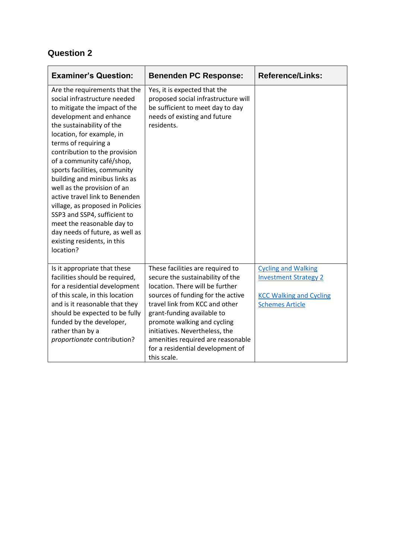| <b>Examiner's Question:</b>                                                                                                                                                                                                                                                                                                                                                                                                                                                                                                                                                                  | <b>Benenden PC Response:</b>                                                                                                                                                                                                                                                                                                                                          | <b>Reference/Links:</b>                                                                                                |
|----------------------------------------------------------------------------------------------------------------------------------------------------------------------------------------------------------------------------------------------------------------------------------------------------------------------------------------------------------------------------------------------------------------------------------------------------------------------------------------------------------------------------------------------------------------------------------------------|-----------------------------------------------------------------------------------------------------------------------------------------------------------------------------------------------------------------------------------------------------------------------------------------------------------------------------------------------------------------------|------------------------------------------------------------------------------------------------------------------------|
| Are the requirements that the<br>social infrastructure needed<br>to mitigate the impact of the<br>development and enhance<br>the sustainability of the<br>location, for example, in<br>terms of requiring a<br>contribution to the provision<br>of a community café/shop,<br>sports facilities, community<br>building and minibus links as<br>well as the provision of an<br>active travel link to Benenden<br>village, as proposed in Policies<br>SSP3 and SSP4, sufficient to<br>meet the reasonable day to<br>day needs of future, as well as<br>existing residents, in this<br>location? | Yes, it is expected that the<br>proposed social infrastructure will<br>be sufficient to meet day to day<br>needs of existing and future<br>residents.                                                                                                                                                                                                                 |                                                                                                                        |
| Is it appropriate that these<br>facilities should be required,<br>for a residential development<br>of this scale, in this location<br>and is it reasonable that they<br>should be expected to be fully<br>funded by the developer,<br>rather than by a<br>proportionate contribution?                                                                                                                                                                                                                                                                                                        | These facilities are required to<br>secure the sustainability of the<br>location. There will be further<br>sources of funding for the active<br>travel link from KCC and other<br>grant-funding available to<br>promote walking and cycling<br>initiatives. Nevertheless, the<br>amenities required are reasonable<br>for a residential development of<br>this scale. | <b>Cycling and Walking</b><br><b>Investment Strategy 2</b><br><b>KCC Walking and Cycling</b><br><b>Schemes Article</b> |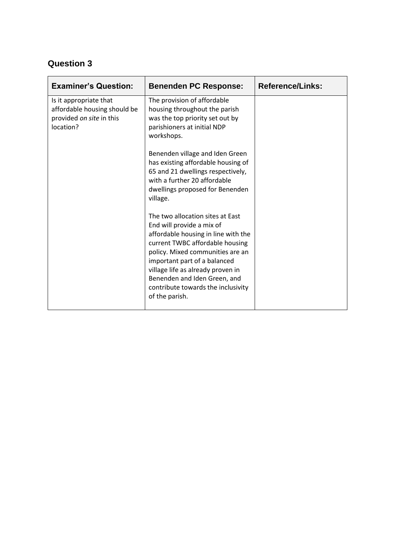| <b>Examiner's Question:</b>                                                                     | <b>Benenden PC Response:</b>                                                                                                                                                                                                                                                                                                             | <b>Reference/Links:</b> |
|-------------------------------------------------------------------------------------------------|------------------------------------------------------------------------------------------------------------------------------------------------------------------------------------------------------------------------------------------------------------------------------------------------------------------------------------------|-------------------------|
| Is it appropriate that<br>affordable housing should be<br>provided on site in this<br>location? | The provision of affordable<br>housing throughout the parish<br>was the top priority set out by<br>parishioners at initial NDP<br>workshops.                                                                                                                                                                                             |                         |
|                                                                                                 | Benenden village and Iden Green<br>has existing affordable housing of<br>65 and 21 dwellings respectively,<br>with a further 20 affordable<br>dwellings proposed for Benenden<br>village.                                                                                                                                                |                         |
|                                                                                                 | The two allocation sites at East<br>End will provide a mix of<br>affordable housing in line with the<br>current TWBC affordable housing<br>policy. Mixed communities are an<br>important part of a balanced<br>village life as already proven in<br>Benenden and Iden Green, and<br>contribute towards the inclusivity<br>of the parish. |                         |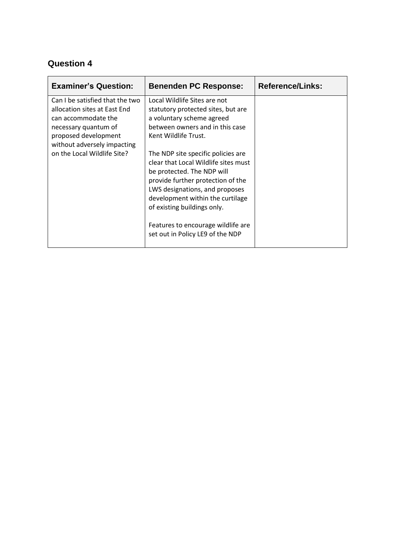| Local Wildlife Sites are not                                                                                                                                                                             |                                                                |
|----------------------------------------------------------------------------------------------------------------------------------------------------------------------------------------------------------|----------------------------------------------------------------|
| statutory protected sites, but are<br>a voluntary scheme agreed<br>between owners and in this case<br>Kent Wildlife Trust.<br>The NDP site specific policies are<br>clear that Local Wildlife sites must |                                                                |
| provide further protection of the<br>LWS designations, and proposes<br>development within the curtilage<br>of existing buildings only.<br>Features to encourage wildlife are                             |                                                                |
|                                                                                                                                                                                                          | be protected. The NDP will<br>set out in Policy LE9 of the NDP |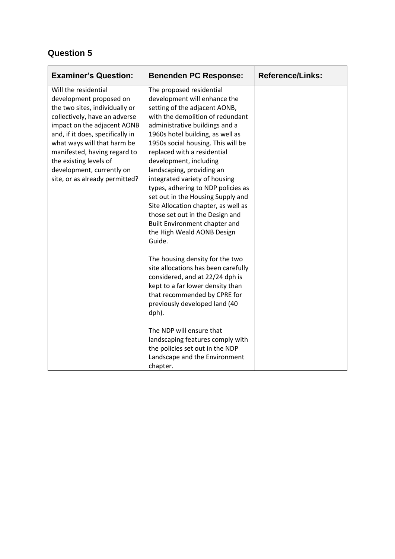| <b>Examiner's Question:</b>                                                                                                                                                                                                                                                                                                                                                                                                                                                                                                                                                                                                                                                                                                                                                                                                                                                                                                                     | <b>Benenden PC Response:</b>                                                                                                                                                                                                                                                                                                                                            | <b>Reference/Links:</b> |
|-------------------------------------------------------------------------------------------------------------------------------------------------------------------------------------------------------------------------------------------------------------------------------------------------------------------------------------------------------------------------------------------------------------------------------------------------------------------------------------------------------------------------------------------------------------------------------------------------------------------------------------------------------------------------------------------------------------------------------------------------------------------------------------------------------------------------------------------------------------------------------------------------------------------------------------------------|-------------------------------------------------------------------------------------------------------------------------------------------------------------------------------------------------------------------------------------------------------------------------------------------------------------------------------------------------------------------------|-------------------------|
| Will the residential<br>The proposed residential<br>development will enhance the<br>development proposed on<br>the two sites, individually or<br>setting of the adjacent AONB,<br>with the demolition of redundant<br>collectively, have an adverse<br>impact on the adjacent AONB<br>administrative buildings and a<br>and, if it does, specifically in<br>1960s hotel building, as well as<br>what ways will that harm be<br>1950s social housing. This will be<br>replaced with a residential<br>manifested, having regard to<br>the existing levels of<br>development, including<br>landscaping, providing an<br>development, currently on<br>site, or as already permitted?<br>integrated variety of housing<br>types, adhering to NDP policies as<br>set out in the Housing Supply and<br>Site Allocation chapter, as well as<br>those set out in the Design and<br>Built Environment chapter and<br>the High Weald AONB Design<br>Guide. |                                                                                                                                                                                                                                                                                                                                                                         |                         |
|                                                                                                                                                                                                                                                                                                                                                                                                                                                                                                                                                                                                                                                                                                                                                                                                                                                                                                                                                 | The housing density for the two<br>site allocations has been carefully<br>considered, and at 22/24 dph is<br>kept to a far lower density than<br>that recommended by CPRE for<br>previously developed land (40<br>dph).<br>The NDP will ensure that<br>landscaping features comply with<br>the policies set out in the NDP<br>Landscape and the Environment<br>chapter. |                         |